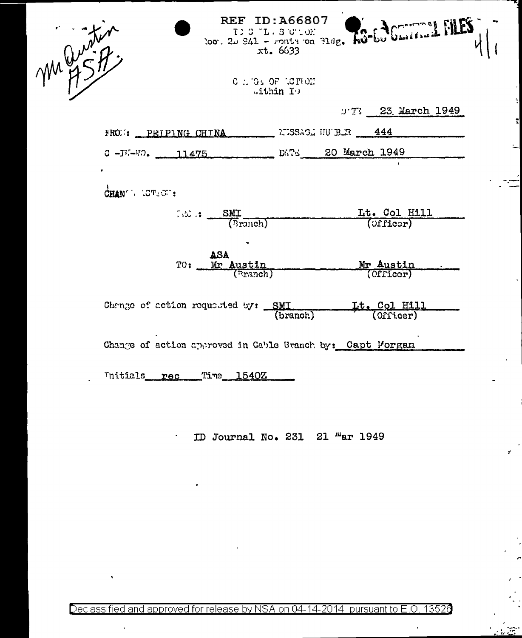| marities |                                                           |                               | too. 20 841 - conta on 31dg. ho-60 Charles 1 |
|----------|-----------------------------------------------------------|-------------------------------|----------------------------------------------|
|          |                                                           | C . G. OF LOTION<br>within Io |                                              |
|          |                                                           |                               | $T$ 23 March 1949                            |
|          | FROM: PEIPING CHINA MINISTERS TUBE 444                    |                               |                                              |
|          | C-JU-WO. 11475 DATE 20 March 1949                         |                               |                                              |
|          |                                                           |                               |                                              |
|          | CHANGE LOTE OF :                                          |                               |                                              |
|          | $\frac{SMI}{(Branoh)}$                                    |                               | Lt. Col Hill<br>(Officer)                    |
|          | ASA                                                       |                               |                                              |
|          | Mr Austin<br>(Branch)<br>TU:                              |                               | Mr Austin<br>(Officer)                       |
|          |                                                           |                               |                                              |
|          | Change of action requested by: SMI                        |                               | Lt. Col Hill                                 |
|          |                                                           | (branch)                      |                                              |
|          | Change of action approved in Cable Branch by: Capt Morgan |                               |                                              |
| Initials | Time 1540Z<br>rec                                         |                               |                                              |

Ļ,

y

 $\ddot{\phantom{0}}$ 

ID Journal No. 231 21 "ar 1949

 $\Box$ 

 $\ddot{\phantom{0}}$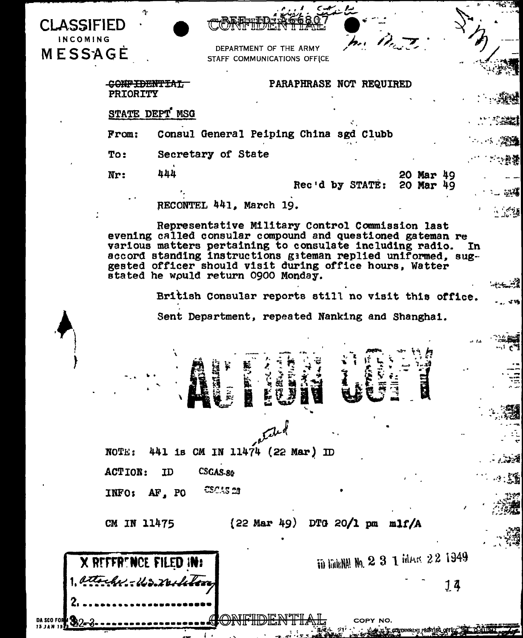| <b>CLASSIFIED</b><br>INCOMING | G.                                         |                       |                                                                                                                                                                                                                                                                                                                                             |                                 |                         | mi Pri   |                                        |    |                         |
|-------------------------------|--------------------------------------------|-----------------------|---------------------------------------------------------------------------------------------------------------------------------------------------------------------------------------------------------------------------------------------------------------------------------------------------------------------------------------------|---------------------------------|-------------------------|----------|----------------------------------------|----|-------------------------|
| MESSAGE                       |                                            |                       | STAFF COMMUNICATIONS OFFICE                                                                                                                                                                                                                                                                                                                 | DEPARTMENT OF THE ARMY          |                         |          |                                        |    |                         |
|                               |                                            |                       |                                                                                                                                                                                                                                                                                                                                             |                                 |                         |          |                                        |    |                         |
|                               | <del>CONFIDENTIAL</del><br><b>PRIORITY</b> |                       |                                                                                                                                                                                                                                                                                                                                             |                                 | PARAPHRASE NOT REQUIRED |          |                                        |    |                         |
|                               | STATE DEPT MSG                             |                       |                                                                                                                                                                                                                                                                                                                                             |                                 |                         |          |                                        |    |                         |
|                               |                                            |                       |                                                                                                                                                                                                                                                                                                                                             |                                 |                         |          |                                        |    |                         |
|                               | From:                                      |                       | Consul General Peiping China sgd Clubb                                                                                                                                                                                                                                                                                                      |                                 |                         |          |                                        |    | - - - - - 深邊            |
|                               | To:                                        |                       | Secretary of State                                                                                                                                                                                                                                                                                                                          |                                 |                         |          |                                        |    | · 政案                    |
|                               | Nr:                                        | 444                   |                                                                                                                                                                                                                                                                                                                                             |                                 |                         |          | 20 Mar 49<br>Rec'd by STATE: 20 Mar 49 |    | ्र प्                   |
|                               |                                            |                       | RECONTEL 441, March 19.                                                                                                                                                                                                                                                                                                                     |                                 |                         |          |                                        |    | 一点道                     |
|                               |                                            |                       | Representative Military Control Commission last<br>evening called consular compound and questioned gateman re<br>various matters pertaining to consulate including radio.<br>accord standing instructions gateman replied uniformed, sug-<br>gested officer should visit during office hours, Watter<br>stated he would return 0900 Monday. |                                 |                         |          |                                        |    | In.                     |
|                               |                                            |                       | British Consular reports still no visit this office.                                                                                                                                                                                                                                                                                        |                                 |                         |          |                                        |    |                         |
|                               |                                            |                       | Sent Department, repeated Nanking and Shanghai.                                                                                                                                                                                                                                                                                             |                                 |                         |          |                                        |    |                         |
|                               |                                            |                       | Ř                                                                                                                                                                                                                                                                                                                                           | <b>EARA</b>                     | <b>WEFE</b>             |          | 圆                                      |    |                         |
|                               |                                            |                       |                                                                                                                                                                                                                                                                                                                                             |                                 |                         |          |                                        |    |                         |
|                               |                                            |                       |                                                                                                                                                                                                                                                                                                                                             | Ciled                           |                         |          |                                        |    |                         |
|                               | NOTE:                                      |                       | 441 is CM IN 11474 (22 Mar) ID                                                                                                                                                                                                                                                                                                              |                                 |                         |          |                                        |    |                         |
|                               | <b>ACTION:</b>                             | ID                    | CSGAS-80                                                                                                                                                                                                                                                                                                                                    |                                 |                         |          |                                        |    | $\cdots$ $\mathbb{Z}$ ) |
|                               | INFO:                                      | AF, PO                | CSCAS 23                                                                                                                                                                                                                                                                                                                                    |                                 |                         |          |                                        |    |                         |
|                               |                                            |                       |                                                                                                                                                                                                                                                                                                                                             |                                 |                         |          |                                        |    |                         |
|                               | CM IN 11475                                |                       |                                                                                                                                                                                                                                                                                                                                             | $(22$ Mar 49) DTG 20/1 pm m1f/A |                         |          |                                        |    |                         |
|                               |                                            | X REFFRENCE FILED IN: |                                                                                                                                                                                                                                                                                                                                             |                                 |                         |          | in think M 2 3 1 MAx 22 1949           |    |                         |
|                               |                                            | attacher: Warrelett   |                                                                                                                                                                                                                                                                                                                                             |                                 |                         |          |                                        | 14 |                         |
|                               |                                            |                       |                                                                                                                                                                                                                                                                                                                                             |                                 |                         |          |                                        |    |                         |
| DA SCO FOI                    |                                            |                       |                                                                                                                                                                                                                                                                                                                                             |                                 |                         | COPY NO. | A B GOVERNMENT PRINTING OFFICE THAT I  |    |                         |